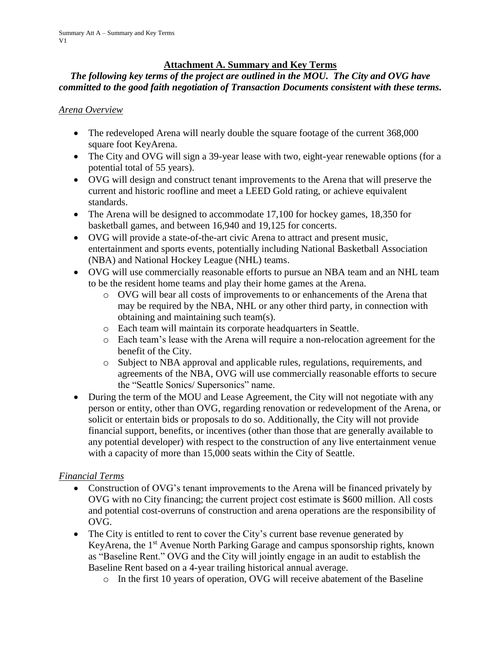### **Attachment A. Summary and Key Terms**

### *The following key terms of the project are outlined in the MOU. The City and OVG have committed to the good faith negotiation of Transaction Documents consistent with these terms.*

#### *Arena Overview*

- The redeveloped Arena will nearly double the square footage of the current 368,000 square foot KeyArena.
- The City and OVG will sign a 39-year lease with two, eight-year renewable options (for a potential total of 55 years).
- OVG will design and construct tenant improvements to the Arena that will preserve the current and historic roofline and meet a LEED Gold rating, or achieve equivalent standards.
- The Arena will be designed to accommodate 17,100 for hockey games, 18,350 for basketball games, and between 16,940 and 19,125 for concerts.
- OVG will provide a state-of-the-art civic Arena to attract and present music, entertainment and sports events, potentially including National Basketball Association (NBA) and National Hockey League (NHL) teams.
- OVG will use commercially reasonable efforts to pursue an NBA team and an NHL team to be the resident home teams and play their home games at the Arena.
	- o OVG will bear all costs of improvements to or enhancements of the Arena that may be required by the NBA, NHL or any other third party, in connection with obtaining and maintaining such team(s).
	- o Each team will maintain its corporate headquarters in Seattle.
	- o Each team's lease with the Arena will require a non-relocation agreement for the benefit of the City.
	- o Subject to NBA approval and applicable rules, regulations, requirements, and agreements of the NBA, OVG will use commercially reasonable efforts to secure the "Seattle Sonics/ Supersonics" name.
- During the term of the MOU and Lease Agreement, the City will not negotiate with any person or entity, other than OVG, regarding renovation or redevelopment of the Arena, or solicit or entertain bids or proposals to do so. Additionally, the City will not provide financial support, benefits, or incentives (other than those that are generally available to any potential developer) with respect to the construction of any live entertainment venue with a capacity of more than 15,000 seats within the City of Seattle.

#### *Financial Terms*

- Construction of OVG's tenant improvements to the Arena will be financed privately by OVG with no City financing; the current project cost estimate is \$600 million. All costs and potential cost-overruns of construction and arena operations are the responsibility of OVG.
- The City is entitled to rent to cover the City's current base revenue generated by KeyArena, the 1<sup>st</sup> Avenue North Parking Garage and campus sponsorship rights, known as "Baseline Rent." OVG and the City will jointly engage in an audit to establish the Baseline Rent based on a 4-year trailing historical annual average.
	- o In the first 10 years of operation, OVG will receive abatement of the Baseline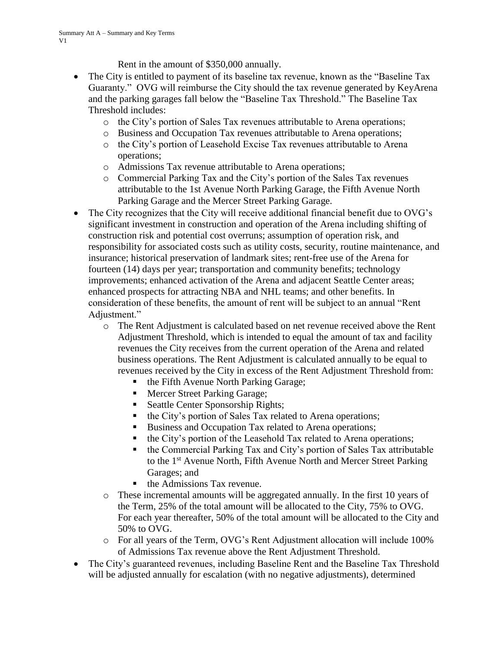Rent in the amount of \$350,000 annually.

- The City is entitled to payment of its baseline tax revenue, known as the "Baseline Tax" Guaranty." OVG will reimburse the City should the tax revenue generated by KeyArena and the parking garages fall below the "Baseline Tax Threshold." The Baseline Tax Threshold includes:
	- o the City's portion of Sales Tax revenues attributable to Arena operations;
	- o Business and Occupation Tax revenues attributable to Arena operations;
	- o the City's portion of Leasehold Excise Tax revenues attributable to Arena operations;
	- o Admissions Tax revenue attributable to Arena operations;
	- o Commercial Parking Tax and the City's portion of the Sales Tax revenues attributable to the 1st Avenue North Parking Garage, the Fifth Avenue North Parking Garage and the Mercer Street Parking Garage.
- The City recognizes that the City will receive additional financial benefit due to OVG's significant investment in construction and operation of the Arena including shifting of construction risk and potential cost overruns; assumption of operation risk, and responsibility for associated costs such as utility costs, security, routine maintenance, and insurance; historical preservation of landmark sites; rent-free use of the Arena for fourteen (14) days per year; transportation and community benefits; technology improvements; enhanced activation of the Arena and adjacent Seattle Center areas; enhanced prospects for attracting NBA and NHL teams; and other benefits. In consideration of these benefits, the amount of rent will be subject to an annual "Rent Adjustment."
	- o The Rent Adjustment is calculated based on net revenue received above the Rent Adjustment Threshold, which is intended to equal the amount of tax and facility revenues the City receives from the current operation of the Arena and related business operations. The Rent Adjustment is calculated annually to be equal to revenues received by the City in excess of the Rent Adjustment Threshold from:
		- the Fifth Avenue North Parking Garage;
		- **Mercer Street Parking Garage;**
		- **Seattle Center Sponsorship Rights;**
		- the City's portion of Sales Tax related to Arena operations;
		- Business and Occupation Tax related to Arena operations;
		- the City's portion of the Leasehold Tax related to Arena operations;
		- the Commercial Parking Tax and City's portion of Sales Tax attributable to the 1st Avenue North, Fifth Avenue North and Mercer Street Parking Garages; and
		- the Admissions Tax revenue.
	- o These incremental amounts will be aggregated annually. In the first 10 years of the Term, 25% of the total amount will be allocated to the City, 75% to OVG. For each year thereafter, 50% of the total amount will be allocated to the City and 50% to OVG.
	- o For all years of the Term, OVG's Rent Adjustment allocation will include 100% of Admissions Tax revenue above the Rent Adjustment Threshold.
- The City's guaranteed revenues, including Baseline Rent and the Baseline Tax Threshold will be adjusted annually for escalation (with no negative adjustments), determined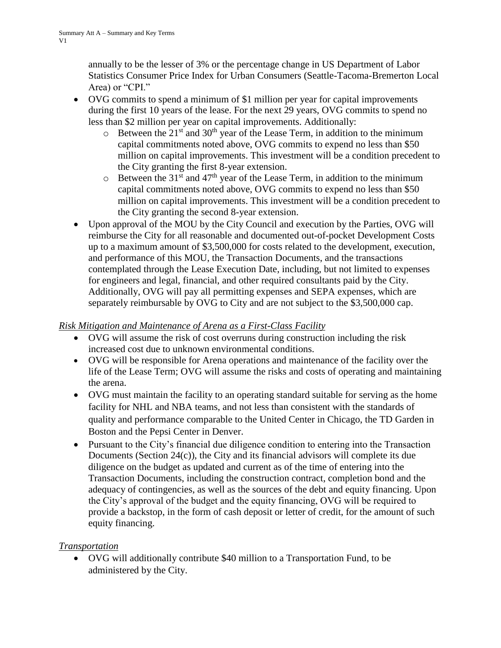annually to be the lesser of 3% or the percentage change in US Department of Labor Statistics Consumer Price Index for Urban Consumers (Seattle-Tacoma-Bremerton Local Area) or "CPI."

- OVG commits to spend a minimum of \$1 million per year for capital improvements during the first 10 years of the lease. For the next 29 years, OVG commits to spend no less than \$2 million per year on capital improvements. Additionally:
	- $\circ$  Between the 21<sup>st</sup> and 30<sup>th</sup> year of the Lease Term, in addition to the minimum capital commitments noted above, OVG commits to expend no less than \$50 million on capital improvements. This investment will be a condition precedent to the City granting the first 8-year extension.
	- $\circ$  Between the 31<sup>st</sup> and 47<sup>th</sup> year of the Lease Term, in addition to the minimum capital commitments noted above, OVG commits to expend no less than \$50 million on capital improvements. This investment will be a condition precedent to the City granting the second 8-year extension.
- Upon approval of the MOU by the City Council and execution by the Parties, OVG will reimburse the City for all reasonable and documented out-of-pocket Development Costs up to a maximum amount of \$3,500,000 for costs related to the development, execution, and performance of this MOU, the Transaction Documents, and the transactions contemplated through the Lease Execution Date, including, but not limited to expenses for engineers and legal, financial, and other required consultants paid by the City. Additionally, OVG will pay all permitting expenses and SEPA expenses, which are separately reimbursable by OVG to City and are not subject to the \$3,500,000 cap.

### *Risk Mitigation and Maintenance of Arena as a First-Class Facility*

- OVG will assume the risk of cost overruns during construction including the risk increased cost due to unknown environmental conditions.
- OVG will be responsible for Arena operations and maintenance of the facility over the life of the Lease Term; OVG will assume the risks and costs of operating and maintaining the arena.
- OVG must maintain the facility to an operating standard suitable for serving as the home facility for NHL and NBA teams, and not less than consistent with the standards of quality and performance comparable to the United Center in Chicago, the TD Garden in Boston and the Pepsi Center in Denver.
- Pursuant to the City's financial due diligence condition to entering into the Transaction Documents (Section 24(c)), the City and its financial advisors will complete its due diligence on the budget as updated and current as of the time of entering into the Transaction Documents, including the construction contract, completion bond and the adequacy of contingencies, as well as the sources of the debt and equity financing. Upon the City's approval of the budget and the equity financing, OVG will be required to provide a backstop, in the form of cash deposit or letter of credit, for the amount of such equity financing.

# *Transportation*

 OVG will additionally contribute \$40 million to a Transportation Fund, to be administered by the City.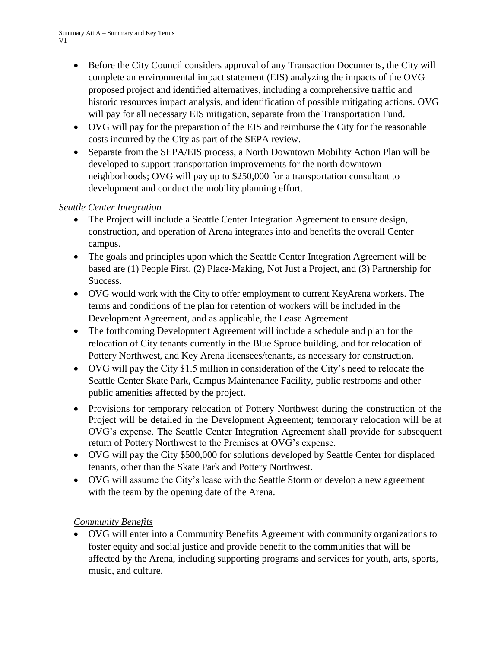- Before the City Council considers approval of any Transaction Documents, the City will complete an environmental impact statement (EIS) analyzing the impacts of the OVG proposed project and identified alternatives, including a comprehensive traffic and historic resources impact analysis, and identification of possible mitigating actions. OVG will pay for all necessary EIS mitigation, separate from the Transportation Fund.
- OVG will pay for the preparation of the EIS and reimburse the City for the reasonable costs incurred by the City as part of the SEPA review.
- Separate from the SEPA/EIS process, a North Downtown Mobility Action Plan will be developed to support transportation improvements for the north downtown neighborhoods; OVG will pay up to \$250,000 for a transportation consultant to development and conduct the mobility planning effort.

# *Seattle Center Integration*

- The Project will include a Seattle Center Integration Agreement to ensure design, construction, and operation of Arena integrates into and benefits the overall Center campus.
- The goals and principles upon which the Seattle Center Integration Agreement will be based are (1) People First, (2) Place-Making, Not Just a Project, and (3) Partnership for Success.
- OVG would work with the City to offer employment to current KeyArena workers. The terms and conditions of the plan for retention of workers will be included in the Development Agreement, and as applicable, the Lease Agreement.
- The forthcoming Development Agreement will include a schedule and plan for the relocation of City tenants currently in the Blue Spruce building, and for relocation of Pottery Northwest, and Key Arena licensees/tenants, as necessary for construction.
- OVG will pay the City \$1.5 million in consideration of the City's need to relocate the Seattle Center Skate Park, Campus Maintenance Facility, public restrooms and other public amenities affected by the project.
- Provisions for temporary relocation of Pottery Northwest during the construction of the Project will be detailed in the Development Agreement; temporary relocation will be at OVG's expense. The Seattle Center Integration Agreement shall provide for subsequent return of Pottery Northwest to the Premises at OVG's expense.
- OVG will pay the City \$500,000 for solutions developed by Seattle Center for displaced tenants, other than the Skate Park and Pottery Northwest.
- OVG will assume the City's lease with the Seattle Storm or develop a new agreement with the team by the opening date of the Arena.

# *Community Benefits*

 OVG will enter into a Community Benefits Agreement with community organizations to foster equity and social justice and provide benefit to the communities that will be affected by the Arena, including supporting programs and services for youth, arts, sports, music, and culture.